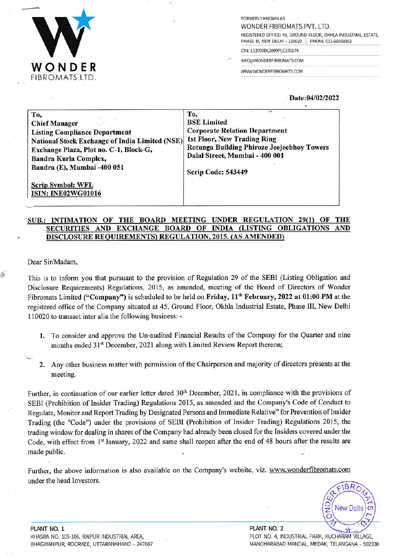

FORMERLY KNOWN AS WONDER FIBROMATS PVT. LTD. REGISTERED OFFICE: 45, GROUND FLOOR, OKHLA INDUSTRIAL ESTATE, PHASE III, NEW DELHI - 110020 | PHONE 011-66058952

CIN: L31900DL2009PLC195174

INFO@WONDERFIBROMATS.COM

.

WWW.WONDERFIBROMATS.COM

## Date:04/02/2022

| To,                                                   | To.                                        |
|-------------------------------------------------------|--------------------------------------------|
| <b>Chief Manager</b>                                  | <b>BSE</b> Limited                         |
| <b>Listing Compliance Department</b>                  | <b>Corporate Relation Department</b>       |
| National Stock Exchange of India Limited (NSE)        | 1st Floor, New Trading Ring                |
| Exchange Plaza, Plot no. C-1, Block-G,                | Rotunga Building Phiroze Jeejeebhoy Towers |
| Bandra Kurla Complex,                                 | Dalal Street, Mumbai - 400 001             |
| Bandra (E), Mumbai -400 051                           | Scrip Code: 543449                         |
| <b>Scrip Symbol: WFL</b><br><b>ISIN: INE02WG01016</b> |                                            |

## SUB.: INTIMATION OF THE BOARD MEETING UNDER REGULATION 29(1) OF THE SECURITIES AND EXCHANGE BOARD OF INDIA (LISTING OBLIGATIONS DISCLOSURE REQUIREMENTS) REGULATION, 2015. (AS AMENDED)

Dear Sir/Madam,

5'

This is to inform you that pursuant to the provision of Regulation 29 of the SEBI (Listing Obligation and Disclosure Requirements) Regulations, 2015, as amended, meeting of the Board of Dircctors of Wonder Fibromats Limited ("Company") is scheduled to be held on Friday, 11<sup>th</sup> February, 2022 at 01:00 PM at the registered office of the Company situated at 45, Ground Floor, Okhla Industrial Estate, Phase III, New Delhi 110020 to transact inter alia the following business: -

- 1. To consider and approve the Un-audited Financial Results of the Company for the Quarter and nine months ended 31<sup>st</sup> December, 2021 along with Limited Review Report thereon;
- 2. Any other business matter with permission of the Chairperson and majority of directors presents at the meeting.

Further, in continuation of our earlier letter dated 30<sup>th</sup> December, 2021, in compliance with the provisions of SEBI (Prohibition of Insider Trading) Regulations 20i5, as amended and the Companys Code of Conduct to Regulate, Monitor and Report Trading by Designated Persons and Immediate Relative" for Prevention of Insider Trading (the "Code") under the provisions of SEBI (Prohibition of Insider Trading) Regulations 2015, the trading window for dealing in shares of the Company had already been closed for the Insiders covered under the Code, with effect from 1st January, 2022 and same shall reopen after the end of 48 hours after the results are made public.

Further, the above information is also available on the Company's website, viz. www.wonderfibromats.com under the head lnvestors.  $QFIBRO$ 

New De